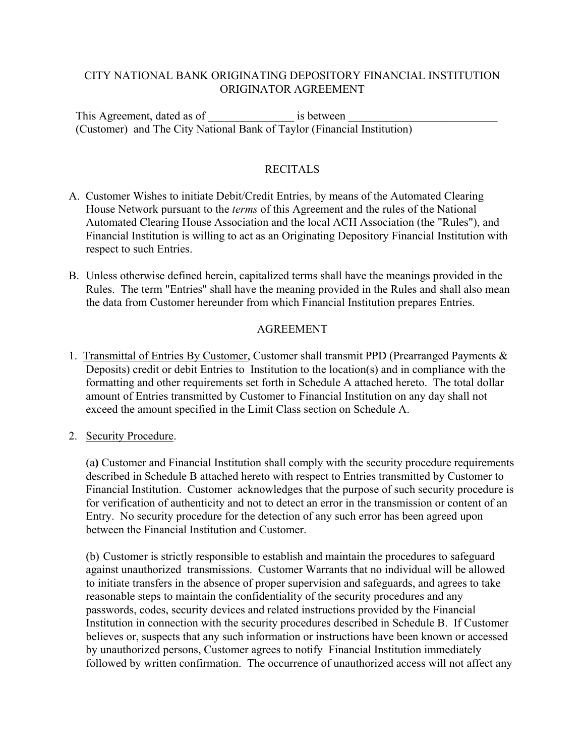# CITY NATIONAL BANK ORIGINATING DEPOSITORY FINANCIAL INSTITUTION ORIGINATOR AGREEMENT

This Agreement, dated as of  $\qquad \qquad$  is between (Customer) and The City National Bank of Taylor (Financial Institution)

# RECITALS

- A. Customer Wishes to initiate Debit/Credit Entries, by means of the Automated Clearing House Network pursuant to the *terms* of this Agreement and the rules of the National Automated Clearing House Association and the local ACH Association (the "Rules"), and Financial Institution is willing to act as an Originating Depository Financial Institution with respect to such Entries.
- B. Unless otherwise defined herein, capitalized terms shall have the meanings provided in the Rules. The term "Entries" shall have the meaning provided in the Rules and shall also mean the data from Customer hereunder from which Financial Institution prepares Entries.

### AGREEMENT

- 1. Transmittal of Entries By Customer, Customer shall transmit PPD (Prearranged Payments & Deposits) credit or debit Entries to Institution to the location(s) and in compliance with the formatting and other requirements set forth in Schedule A attached hereto. The total dollar amount of Entries transmitted by Customer to Financial Institution on any day shall not exceed the amount specified in the Limit Class section on Schedule A.
- 2. Security Procedure.

(a**)** Customer and Financial Institution shall comply with the security procedure requirements described in Schedule B attached hereto with respect to Entries transmitted by Customer to Financial Institution. Customer acknowledges that the purpose of such security procedure is for verification of authenticity and not to detect an error in the transmission or content of an Entry. No security procedure for the detection of any such error has been agreed upon between the Financial Institution and Customer.

(b) Customer is strictly responsible to establish and maintain the procedures to safeguard against unauthorized transmissions. Customer Warrants that no individual will be allowed to initiate transfers in the absence of proper supervision and safeguards, and agrees to take reasonable steps to maintain the confidentiality of the security procedures and any passwords, codes, security devices and related instructions provided by the Financial Institution in connection with the security procedures described in Schedule B. If Customer believes or, suspects that any such information or instructions have been known or accessed by unauthorized persons, Customer agrees to notify Financial Institution immediately followed by written confirmation. The occurrence of unauthorized access will not affect any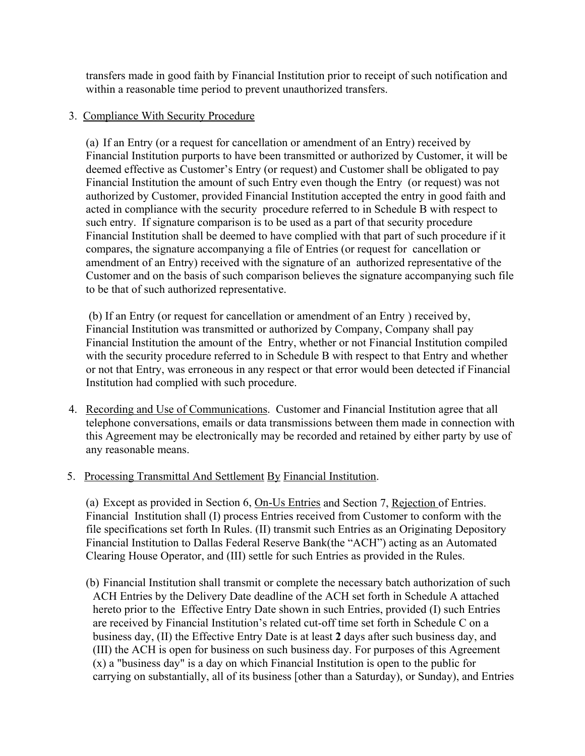transfers made in good faith by Financial Institution prior to receipt of such notification and within a reasonable time period to prevent unauthorized transfers.

# 3. Compliance With Security Procedure

(a) If an Entry (or a request for cancellation or amendment of an Entry) received by Financial Institution purports to have been transmitted or authorized by Customer, it will be deemed effective as Customer's Entry (or request) and Customer shall be obligated to pay Financial Institution the amount of such Entry even though the Entry (or request) was not authorized by Customer, provided Financial Institution accepted the entry in good faith and acted in compliance with the security procedure referred to in Schedule B with respect to such entry. If signature comparison is to be used as a part of that security procedure Financial Institution shall be deemed to have complied with that part of such procedure if it compares, the signature accompanying a file of Entries (or request for cancellation or amendment of an Entry) received with the signature of an authorized representative of the Customer and on the basis of such comparison believes the signature accompanying such file to be that of such authorized representative.

 (b) If an Entry (or request for cancellation or amendment of an Entry ) received by, Financial Institution was transmitted or authorized by Company, Company shall pay Financial Institution the amount of the Entry, whether or not Financial Institution compiled with the security procedure referred to in Schedule B with respect to that Entry and whether or not that Entry, was erroneous in any respect or that error would been detected if Financial Institution had complied with such procedure.

- 4. Recording and Use of Communications. Customer and Financial Institution agree that all telephone conversations, emails or data transmissions between them made in connection with this Agreement may be electronically may be recorded and retained by either party by use of any reasonable means.
- 5. Processing Transmittal And Settlement By Financial Institution.

(a) Except as provided in Section 6, On-Us Entries and Section 7, Rejection of Entries. Financial Institution shall (I) process Entries received from Customer to conform with the file specifications set forth In Rules. (II) transmit such Entries as an Originating Depository Financial Institution to Dallas Federal Reserve Bank(the "ACH") acting as an Automated Clearing House Operator, and (III) settle for such Entries as provided in the Rules.

(b) Financial Institution shall transmit or complete the necessary batch authorization of such ACH Entries by the Delivery Date deadline of the ACH set forth in Schedule A attached hereto prior to the Effective Entry Date shown in such Entries, provided (I) such Entries are received by Financial Institution's related cut-off time set forth in Schedule C on a business day, (II) the Effective Entry Date is at least **2** days after such business day, and (III) the ACH is open for business on such business day. For purposes of this Agreement (x) a "business day" is a day on which Financial Institution is open to the public for carrying on substantially, all of its business [other than a Saturday), or Sunday), and Entries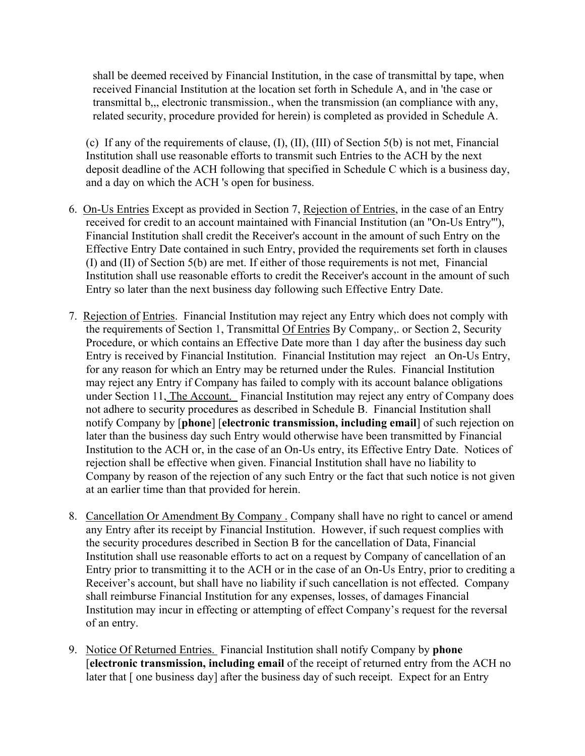shall be deemed received by Financial Institution, in the case of transmittal by tape, when received Financial Institution at the location set forth in Schedule A, and in 'the case or transmittal b,,, electronic transmission., when the transmission (an compliance with any, related security, procedure provided for herein) is completed as provided in Schedule A.

(c) If any of the requirements of clause, (I), (II), (III) of Section 5(b) is not met, Financial Institution shall use reasonable efforts to transmit such Entries to the ACH by the next deposit deadline of the ACH following that specified in Schedule C which is a business day, and a day on which the ACH 's open for business.

- 6. On-Us Entries Except as provided in Section 7, Rejection of Entries, in the case of an Entry received for credit to an account maintained with Financial Institution (an "On-Us Entry"'), Financial Institution shall credit the Receiver's account in the amount of such Entry on the Effective Entry Date contained in such Entry, provided the requirements set forth in clauses (I) and (II) of Section 5(b) are met. If either of those requirements is not met, Financial Institution shall use reasonable efforts to credit the Receiver's account in the amount of such Entry so later than the next business day following such Effective Entry Date.
- 7. Rejection of Entries. Financial Institution may reject any Entry which does not comply with the requirements of Section 1, Transmittal Of Entries By Company,. or Section 2, Security Procedure, or which contains an Effective Date more than 1 day after the business day such Entry is received by Financial Institution. Financial Institution may reject an On-Us Entry, for any reason for which an Entry may be returned under the Rules. Financial Institution may reject any Entry if Company has failed to comply with its account balance obligations under Section 11, The Account. Financial Institution may reject any entry of Company does not adhere to security procedures as described in Schedule B. Financial Institution shall notify Company by [**phone**] [**electronic transmission, including email**] of such rejection on later than the business day such Entry would otherwise have been transmitted by Financial Institution to the ACH or, in the case of an On-Us entry, its Effective Entry Date. Notices of rejection shall be effective when given. Financial Institution shall have no liability to Company by reason of the rejection of any such Entry or the fact that such notice is not given at an earlier time than that provided for herein.
- 8. Cancellation Or Amendment By Company . Company shall have no right to cancel or amend any Entry after its receipt by Financial Institution. However, if such request complies with the security procedures described in Section B for the cancellation of Data, Financial Institution shall use reasonable efforts to act on a request by Company of cancellation of an Entry prior to transmitting it to the ACH or in the case of an On-Us Entry, prior to crediting a Receiver's account, but shall have no liability if such cancellation is not effected. Company shall reimburse Financial Institution for any expenses, losses, of damages Financial Institution may incur in effecting or attempting of effect Company's request for the reversal of an entry.
- 9. Notice Of Returned Entries. Financial Institution shall notify Company by **phone** [**electronic transmission, including email** of the receipt of returned entry from the ACH no later that [ one business day] after the business day of such receipt. Expect for an Entry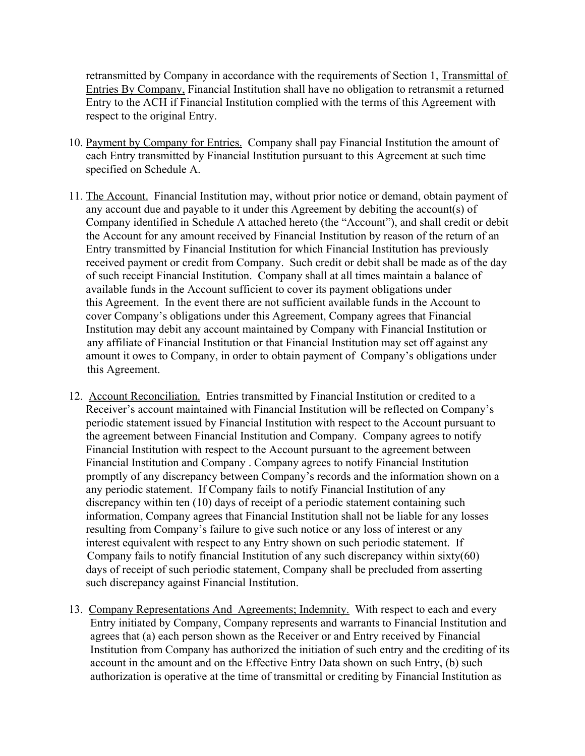retransmitted by Company in accordance with the requirements of Section 1, Transmittal of Entries By Company, Financial Institution shall have no obligation to retransmit a returned Entry to the ACH if Financial Institution complied with the terms of this Agreement with respect to the original Entry.

- 10. Payment by Company for Entries. Company shall pay Financial Institution the amount of each Entry transmitted by Financial Institution pursuant to this Agreement at such time specified on Schedule A.
- 11. The Account. Financial Institution may, without prior notice or demand, obtain payment of any account due and payable to it under this Agreement by debiting the account(s) of Company identified in Schedule A attached hereto (the "Account"), and shall credit or debit the Account for any amount received by Financial Institution by reason of the return of an Entry transmitted by Financial Institution for which Financial Institution has previously received payment or credit from Company. Such credit or debit shall be made as of the day of such receipt Financial Institution. Company shall at all times maintain a balance of available funds in the Account sufficient to cover its payment obligations under this Agreement. In the event there are not sufficient available funds in the Account to cover Company's obligations under this Agreement, Company agrees that Financial Institution may debit any account maintained by Company with Financial Institution or any affiliate of Financial Institution or that Financial Institution may set off against any amount it owes to Company, in order to obtain payment of Company's obligations under this Agreement.
- 12. Account Reconciliation. Entries transmitted by Financial Institution or credited to a Receiver's account maintained with Financial Institution will be reflected on Company's periodic statement issued by Financial Institution with respect to the Account pursuant to the agreement between Financial Institution and Company. Company agrees to notify Financial Institution with respect to the Account pursuant to the agreement between Financial Institution and Company . Company agrees to notify Financial Institution promptly of any discrepancy between Company's records and the information shown on a any periodic statement. If Company fails to notify Financial Institution of any discrepancy within ten (10) days of receipt of a periodic statement containing such information, Company agrees that Financial Institution shall not be liable for any losses resulting from Company's failure to give such notice or any loss of interest or any interest equivalent with respect to any Entry shown on such periodic statement. If Company fails to notify financial Institution of any such discrepancy within sixty(60) days of receipt of such periodic statement, Company shall be precluded from asserting such discrepancy against Financial Institution.
- 13. Company Representations And Agreements; Indemnity. With respect to each and every Entry initiated by Company, Company represents and warrants to Financial Institution and agrees that (a) each person shown as the Receiver or and Entry received by Financial Institution from Company has authorized the initiation of such entry and the crediting of its account in the amount and on the Effective Entry Data shown on such Entry, (b) such authorization is operative at the time of transmittal or crediting by Financial Institution as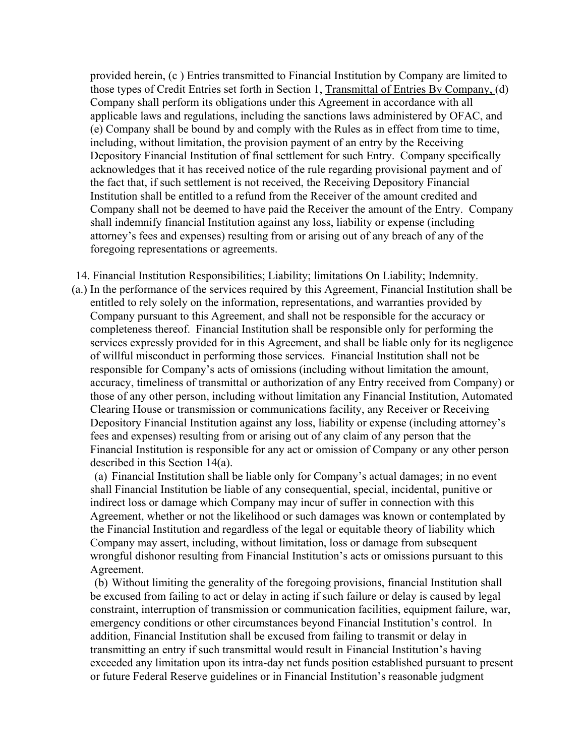provided herein, (c ) Entries transmitted to Financial Institution by Company are limited to those types of Credit Entries set forth in Section 1, Transmittal of Entries By Company, (d) Company shall perform its obligations under this Agreement in accordance with all applicable laws and regulations, including the sanctions laws administered by OFAC, and (e) Company shall be bound by and comply with the Rules as in effect from time to time, including, without limitation, the provision payment of an entry by the Receiving Depository Financial Institution of final settlement for such Entry. Company specifically acknowledges that it has received notice of the rule regarding provisional payment and of the fact that, if such settlement is not received, the Receiving Depository Financial Institution shall be entitled to a refund from the Receiver of the amount credited and Company shall not be deemed to have paid the Receiver the amount of the Entry. Company shall indemnify financial Institution against any loss, liability or expense (including attorney's fees and expenses) resulting from or arising out of any breach of any of the foregoing representations or agreements.

14. Financial Institution Responsibilities; Liability; limitations On Liability; Indemnity.

 (a.) In the performance of the services required by this Agreement, Financial Institution shall be entitled to rely solely on the information, representations, and warranties provided by Company pursuant to this Agreement, and shall not be responsible for the accuracy or completeness thereof. Financial Institution shall be responsible only for performing the services expressly provided for in this Agreement, and shall be liable only for its negligence of willful misconduct in performing those services. Financial Institution shall not be responsible for Company's acts of omissions (including without limitation the amount, accuracy, timeliness of transmittal or authorization of any Entry received from Company) or those of any other person, including without limitation any Financial Institution, Automated Clearing House or transmission or communications facility, any Receiver or Receiving Depository Financial Institution against any loss, liability or expense (including attorney's fees and expenses) resulting from or arising out of any claim of any person that the Financial Institution is responsible for any act or omission of Company or any other person described in this Section 14(a).

(a) Financial Institution shall be liable only for Company's actual damages; in no event shall Financial Institution be liable of any consequential, special, incidental, punitive or indirect loss or damage which Company may incur of suffer in connection with this Agreement, whether or not the likelihood or such damages was known or contemplated by the Financial Institution and regardless of the legal or equitable theory of liability which Company may assert, including, without limitation, loss or damage from subsequent wrongful dishonor resulting from Financial Institution's acts or omissions pursuant to this Agreement.

(b) Without limiting the generality of the foregoing provisions, financial Institution shall be excused from failing to act or delay in acting if such failure or delay is caused by legal constraint, interruption of transmission or communication facilities, equipment failure, war, emergency conditions or other circumstances beyond Financial Institution's control. In addition, Financial Institution shall be excused from failing to transmit or delay in transmitting an entry if such transmittal would result in Financial Institution's having exceeded any limitation upon its intra-day net funds position established pursuant to present or future Federal Reserve guidelines or in Financial Institution's reasonable judgment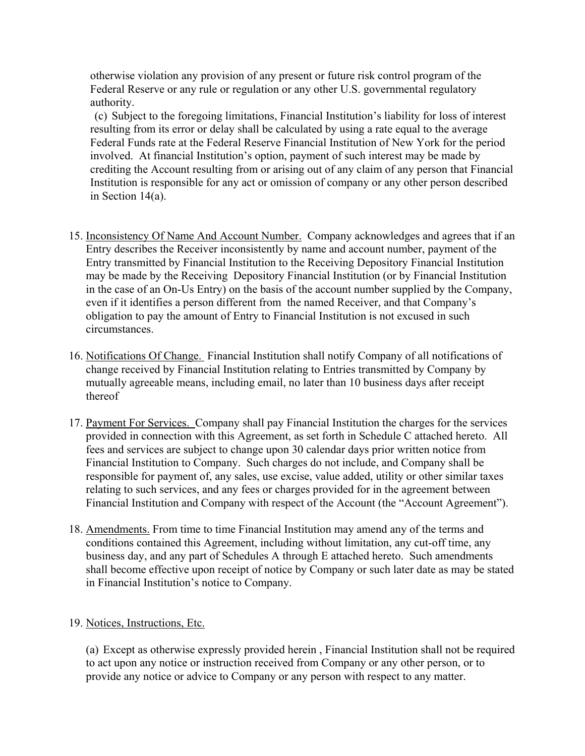otherwise violation any provision of any present or future risk control program of the Federal Reserve or any rule or regulation or any other U.S. governmental regulatory authority.

(c) Subject to the foregoing limitations, Financial Institution's liability for loss of interest resulting from its error or delay shall be calculated by using a rate equal to the average Federal Funds rate at the Federal Reserve Financial Institution of New York for the period involved. At financial Institution's option, payment of such interest may be made by crediting the Account resulting from or arising out of any claim of any person that Financial Institution is responsible for any act or omission of company or any other person described in Section 14(a).

- 15. Inconsistency Of Name And Account Number. Company acknowledges and agrees that if an Entry describes the Receiver inconsistently by name and account number, payment of the Entry transmitted by Financial Institution to the Receiving Depository Financial Institution may be made by the Receiving Depository Financial Institution (or by Financial Institution in the case of an On-Us Entry) on the basis of the account number supplied by the Company, even if it identifies a person different from the named Receiver, and that Company's obligation to pay the amount of Entry to Financial Institution is not excused in such circumstances.
- 16. Notifications Of Change. Financial Institution shall notify Company of all notifications of change received by Financial Institution relating to Entries transmitted by Company by mutually agreeable means, including email, no later than 10 business days after receipt thereof
- 17. Payment For Services. Company shall pay Financial Institution the charges for the services provided in connection with this Agreement, as set forth in Schedule C attached hereto. All fees and services are subject to change upon 30 calendar days prior written notice from Financial Institution to Company. Such charges do not include, and Company shall be responsible for payment of, any sales, use excise, value added, utility or other similar taxes relating to such services, and any fees or charges provided for in the agreement between Financial Institution and Company with respect of the Account (the "Account Agreement").
- 18. Amendments. From time to time Financial Institution may amend any of the terms and conditions contained this Agreement, including without limitation, any cut-off time, any business day, and any part of Schedules A through E attached hereto. Such amendments shall become effective upon receipt of notice by Company or such later date as may be stated in Financial Institution's notice to Company.

## 19. Notices, Instructions, Etc.

(a) Except as otherwise expressly provided herein , Financial Institution shall not be required to act upon any notice or instruction received from Company or any other person, or to provide any notice or advice to Company or any person with respect to any matter.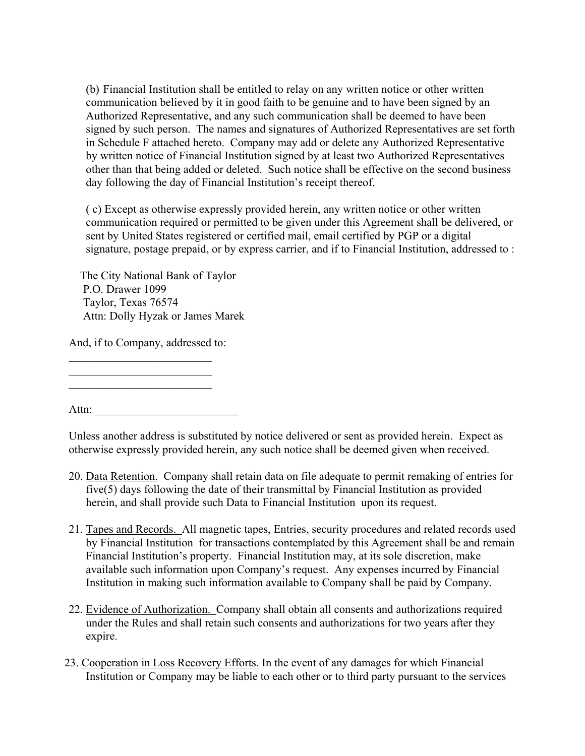(b) Financial Institution shall be entitled to relay on any written notice or other written communication believed by it in good faith to be genuine and to have been signed by an Authorized Representative, and any such communication shall be deemed to have been signed by such person. The names and signatures of Authorized Representatives are set forth in Schedule F attached hereto. Company may add or delete any Authorized Representative by written notice of Financial Institution signed by at least two Authorized Representatives other than that being added or deleted. Such notice shall be effective on the second business day following the day of Financial Institution's receipt thereof.

( c) Except as otherwise expressly provided herein, any written notice or other written communication required or permitted to be given under this Agreement shall be delivered, or sent by United States registered or certified mail, email certified by PGP or a digital signature, postage prepaid, or by express carrier, and if to Financial Institution, addressed to :

 The City National Bank of Taylor P.O. Drawer 1099 Taylor, Texas 76574 Attn: Dolly Hyzak or James Marek

And, if to Company, addressed to:

 $\mathcal{L}_\text{max}$  , where  $\mathcal{L}_\text{max}$  , we are the set of the set of the set of the set of the set of the set of the set of the set of the set of the set of the set of the set of the set of the set of the set of the set of  $\mathcal{L}_\text{max}$  , where  $\mathcal{L}_\text{max}$  , we are the set of the set of the set of the set of the set of the set of the set of the set of the set of the set of the set of the set of the set of the set of the set of the set of  $\mathcal{L}_\text{max}$ 

Attn:

Unless another address is substituted by notice delivered or sent as provided herein. Expect as otherwise expressly provided herein, any such notice shall be deemed given when received.

- 20. Data Retention. Company shall retain data on file adequate to permit remaking of entries for five(5) days following the date of their transmittal by Financial Institution as provided herein, and shall provide such Data to Financial Institution upon its request.
- 21. Tapes and Records. All magnetic tapes, Entries, security procedures and related records used by Financial Institution for transactions contemplated by this Agreement shall be and remain Financial Institution's property. Financial Institution may, at its sole discretion, make available such information upon Company's request. Any expenses incurred by Financial Institution in making such information available to Company shall be paid by Company.
- 22. Evidence of Authorization. Company shall obtain all consents and authorizations required under the Rules and shall retain such consents and authorizations for two years after they expire.
- 23. Cooperation in Loss Recovery Efforts. In the event of any damages for which Financial Institution or Company may be liable to each other or to third party pursuant to the services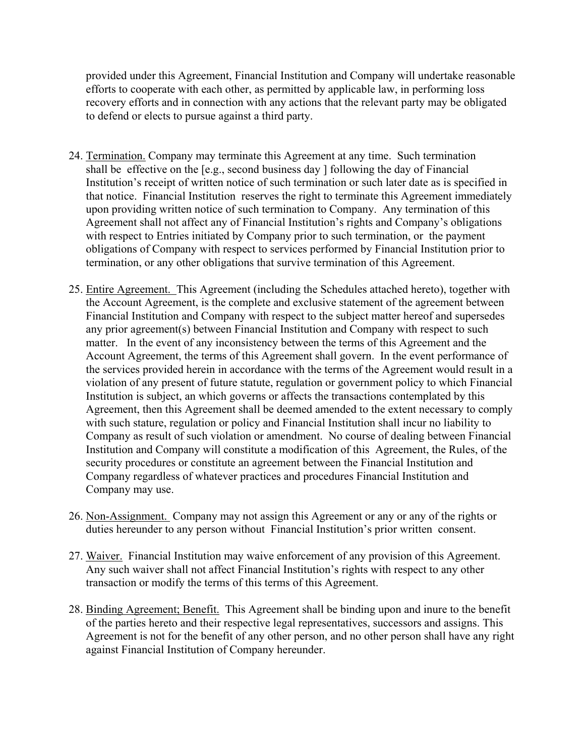provided under this Agreement, Financial Institution and Company will undertake reasonable efforts to cooperate with each other, as permitted by applicable law, in performing loss recovery efforts and in connection with any actions that the relevant party may be obligated to defend or elects to pursue against a third party.

- 24. Termination. Company may terminate this Agreement at any time. Such termination shall be effective on the [e.g., second business day ] following the day of Financial Institution's receipt of written notice of such termination or such later date as is specified in that notice. Financial Institution reserves the right to terminate this Agreement immediately upon providing written notice of such termination to Company. Any termination of this Agreement shall not affect any of Financial Institution's rights and Company's obligations with respect to Entries initiated by Company prior to such termination, or the payment obligations of Company with respect to services performed by Financial Institution prior to termination, or any other obligations that survive termination of this Agreement.
- 25. Entire Agreement. This Agreement (including the Schedules attached hereto), together with the Account Agreement, is the complete and exclusive statement of the agreement between Financial Institution and Company with respect to the subject matter hereof and supersedes any prior agreement(s) between Financial Institution and Company with respect to such matter. In the event of any inconsistency between the terms of this Agreement and the Account Agreement, the terms of this Agreement shall govern. In the event performance of the services provided herein in accordance with the terms of the Agreement would result in a violation of any present of future statute, regulation or government policy to which Financial Institution is subject, an which governs or affects the transactions contemplated by this Agreement, then this Agreement shall be deemed amended to the extent necessary to comply with such stature, regulation or policy and Financial Institution shall incur no liability to Company as result of such violation or amendment. No course of dealing between Financial Institution and Company will constitute a modification of this Agreement, the Rules, of the security procedures or constitute an agreement between the Financial Institution and Company regardless of whatever practices and procedures Financial Institution and Company may use.
- 26. Non-Assignment. Company may not assign this Agreement or any or any of the rights or duties hereunder to any person without Financial Institution's prior written consent.
- 27. Waiver. Financial Institution may waive enforcement of any provision of this Agreement. Any such waiver shall not affect Financial Institution's rights with respect to any other transaction or modify the terms of this terms of this Agreement.
- 28. Binding Agreement; Benefit. This Agreement shall be binding upon and inure to the benefit of the parties hereto and their respective legal representatives, successors and assigns. This Agreement is not for the benefit of any other person, and no other person shall have any right against Financial Institution of Company hereunder.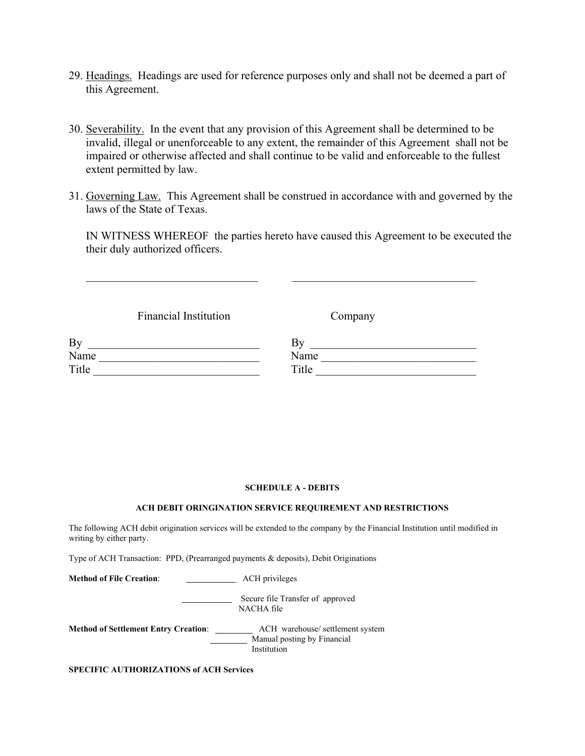- 29. Headings. Headings are used for reference purposes only and shall not be deemed a part of this Agreement.
- 30. Severability. In the event that any provision of this Agreement shall be determined to be invalid, illegal or unenforceable to any extent, the remainder of this Agreement shall not be impaired or otherwise affected and shall continue to be valid and enforceable to the fullest extent permitted by law.
- 31. Governing Law. This Agreement shall be construed in accordance with and governed by the laws of the State of Texas.

IN WITNESS WHEREOF the parties hereto have caused this Agreement to be executed the their duly authorized officers.

 $\mathcal{L}_\text{max}$  , and the contribution of the contribution of the contribution of the contribution of the contribution of the contribution of the contribution of the contribution of the contribution of the contribution of t

Financial Institution Company

| By    | י ג∟<br>ָט |
|-------|------------|
| Name  | Name       |
| Title | Title      |

### **SCHEDULE A - DEBITS**

### **ACH DEBIT ORINGINATION SERVICE REQUIREMENT AND RESTRICTIONS**

The following ACH debit origination services will be extended to the company by the Financial Institution until modified in writing by either party.

Type of ACH Transaction: PPD, (Prearranged payments & deposits), Debit Originations

Method of File Creation: **ACH** privileges

Secure file Transfer of approved NACHA file

**Method of Settlement Entry Creation**: ACH warehouse/ settlement system Manual posting by Financial Institution

**SPECIFIC AUTHORIZATIONS of ACH Services**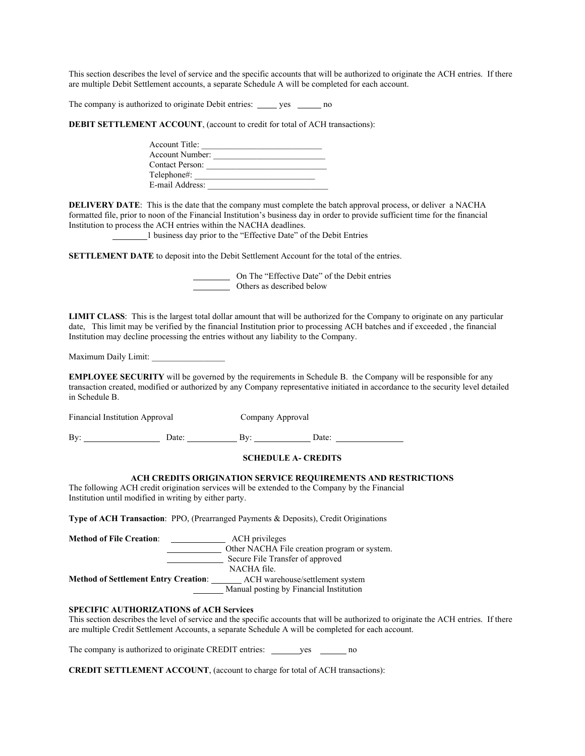This section describes the level of service and the specific accounts that will be authorized to originate the ACH entries. If there are multiple Debit Settlement accounts, a separate Schedule A will be completed for each account.

The company is authorized to originate Debit entries: ves \_\_\_\_\_\_\_ no

**DEBIT SETTLEMENT ACCOUNT**, (account to credit for total of ACH transactions):

| Account Title:  |  |
|-----------------|--|
| Account Number: |  |
| Contact Person: |  |
| Telephone#:     |  |
| E-mail Address: |  |

**DELIVERY DATE**: This is the date that the company must complete the batch approval process, or deliver a NACHA formatted file, prior to noon of the Financial Institution's business day in order to provide sufficient time for the financial Institution to process the ACH entries within the NACHA deadlines.

<sup>1</sup> business day prior to the "Effective Date" of the Debit Entries

**SETTLEMENT DATE** to deposit into the Debit Settlement Account for the total of the entries.

 On The "Effective Date" of the Debit entries Others as described below

**LIMIT CLASS**: This is the largest total dollar amount that will be authorized for the Company to originate on any particular date, This limit may be verified by the financial Institution prior to processing ACH batches and if exceeded , the financial Institution may decline processing the entries without any liability to the Company.

Maximum Daily Limit:

**EMPLOYEE SECURITY** will be governed by the requirements in Schedule B. the Company will be responsible for any transaction created, modified or authorized by any Company representative initiated in accordance to the security level detailed in Schedule B.

| Financial Institution Approval |       | Company Approval |       |
|--------------------------------|-------|------------------|-------|
| Bv                             | Date: | Bv:              | Date: |

#### **SCHEDULE A- CREDITS**

### **ACH CREDITS ORIGINATION SERVICE REQUIREMENTS AND RESTRICTIONS**

The following ACH credit origination services will be extended to the Company by the Financial Institution until modified in writing by either party.

**Type of ACH Transaction**: PPO, (Prearranged Payments & Deposits), Credit Originations

**Method of File Creation:** \_\_\_\_\_\_\_\_\_\_\_\_\_\_\_\_ ACH privileges Other NACHA File creation program or system. Secure File Transfer of approved NACHA file. **Method of Settlement Entry Creation:** ACH warehouse/settlement system Manual posting by Financial Institution

### **SPECIFIC AUTHORIZATIONS of ACH Services**

This section describes the level of service and the specific accounts that will be authorized to originate the ACH entries. If there are multiple Credit Settlement Accounts, a separate Schedule A will be completed for each account.

The company is authorized to originate CREDIT entries: ves \_\_\_\_\_\_\_\_ no

**CREDIT SETTLEMENT ACCOUNT**, (account to charge for total of ACH transactions):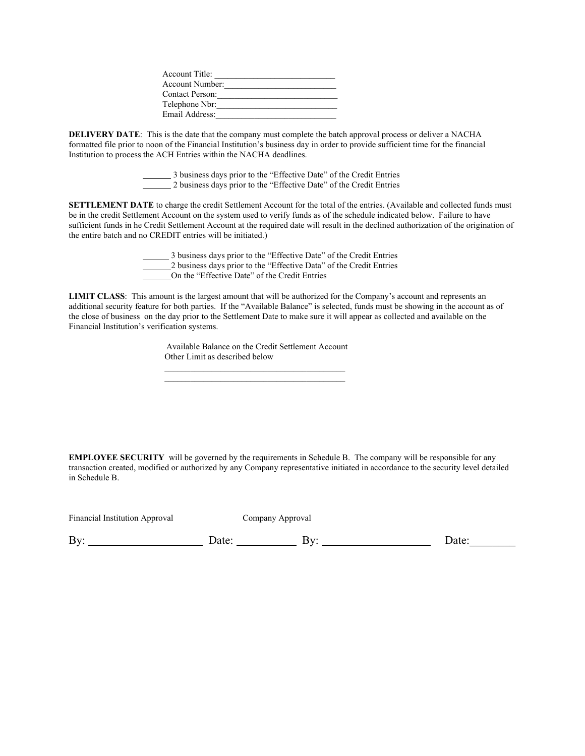| Account Title:         |  |
|------------------------|--|
| Account Number:        |  |
| <b>Contact Person:</b> |  |
| Telephone Nbr:         |  |
| Email Address:         |  |

**DELIVERY DATE**: This is the date that the company must complete the batch approval process or deliver a NACHA formatted file prior to noon of the Financial Institution's business day in order to provide sufficient time for the financial Institution to process the ACH Entries within the NACHA deadlines.

> 3 business days prior to the "Effective Date" of the Credit Entries 2 business days prior to the "Effective Date" of the Credit Entries

**SETTLEMENT DATE** to charge the credit Settlement Account for the total of the entries. (Available and collected funds must be in the credit Settlement Account on the system used to verify funds as of the schedule indicated below. Failure to have sufficient funds in he Credit Settlement Account at the required date will result in the declined authorization of the origination of the entire batch and no CREDIT entries will be initiated.)

> 3 business days prior to the "Effective Date" of the Credit Entries 2 business days prior to the "Effective Data" of the Credit Entries On the "Effective Date" of the Credit Entries

**LIMIT CLASS**: This amount is the largest amount that will be authorized for the Company's account and represents an additional security feature for both parties. If the "Available Balance" is selected, funds must be showing in the account as of the close of business on the day prior to the Settlement Date to make sure it will appear as collected and available on the Financial Institution's verification systems.

> Available Balance on the Credit Settlement Account Other Limit as described below

 $\mathcal{L}_\mathcal{L} = \{ \mathcal{L}_\mathcal{L} \mid \mathcal{L}_\mathcal{L} \in \mathcal{L}_\mathcal{L} \}$  , where  $\mathcal{L}_\mathcal{L} = \{ \mathcal{L}_\mathcal{L} \mid \mathcal{L}_\mathcal{L} \in \mathcal{L}_\mathcal{L} \}$  $\mathcal{L}_\text{max}$  and the contract of the contract of the contract of the contract of the contract of the contract of the contract of the contract of the contract of the contract of the contract of the contract of the contrac

**EMPLOYEE SECURITY** will be governed by the requirements in Schedule B. The company will be responsible for any transaction created, modified or authorized by any Company representative initiated in accordance to the security level detailed in Schedule B.

| Financial Institution Approval |       | Company Approval |      |
|--------------------------------|-------|------------------|------|
| Bv:                            | Date: | ВV.              | Date |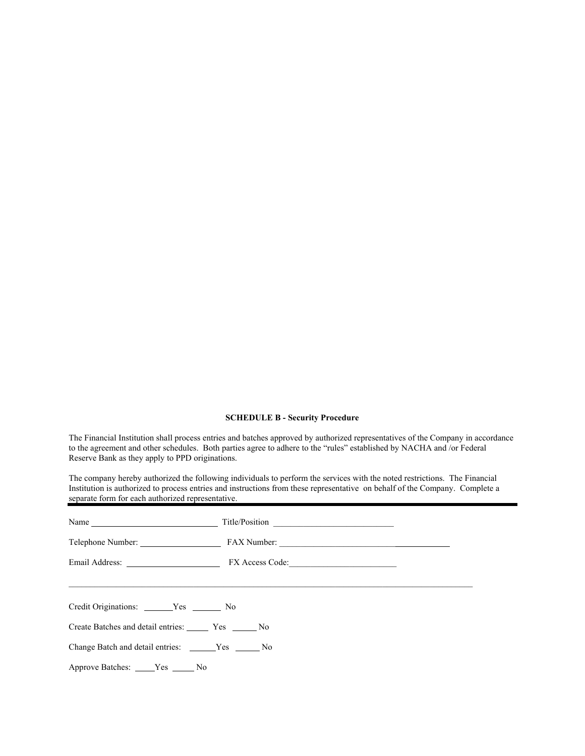#### **SCHEDULE B - Security Procedure**

The Financial Institution shall process entries and batches approved by authorized representatives of the Company in accordance to the agreement and other schedules. Both parties agree to adhere to the "rules" established by NACHA and /or Federal Reserve Bank as they apply to PPD originations.

The company hereby authorized the following individuals to perform the services with the noted restrictions. The Financial Institution is authorized to process entries and instructions from these representative on behalf of the Company. Complete a separate form for each authorized representative.

| Name                                           | Title/Position |  |
|------------------------------------------------|----------------|--|
|                                                |                |  |
|                                                |                |  |
|                                                |                |  |
| Credit Originations: _________ Yes ________ No |                |  |
| Create Batches and detail entries: Ves Ves No  |                |  |
| Change Batch and detail entries: Yes No        |                |  |
| Approve Batches: _____Yes ______No             |                |  |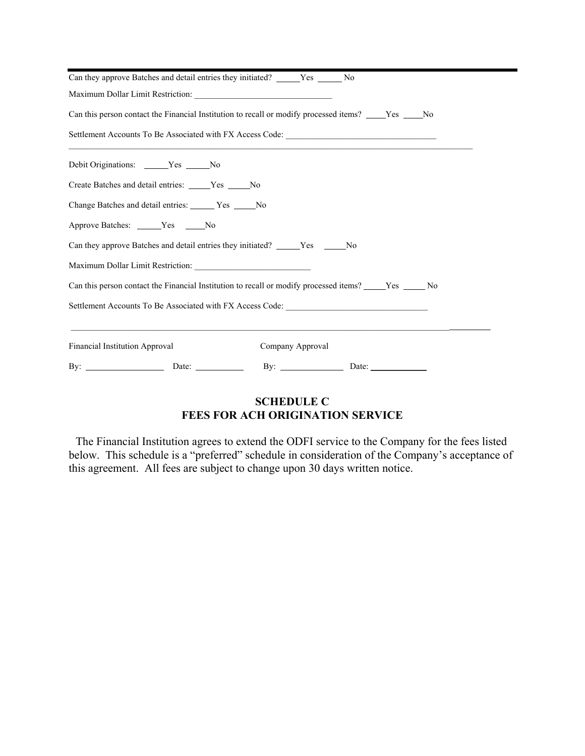| Can they approve Batches and detail entries they initiated? ______ Yes ______ No                                                              |
|-----------------------------------------------------------------------------------------------------------------------------------------------|
|                                                                                                                                               |
| Can this person contact the Financial Institution to recall or modify processed items? ______Yes ______No                                     |
| Settlement Accounts To Be Associated with FX Access Code: _______________________                                                             |
| Debit Originations: _____Yes ____No                                                                                                           |
| Create Batches and detail entries: _____Yes _____No                                                                                           |
| Change Batches and detail entries: Ves No                                                                                                     |
| Approve Batches: ______Yes ______No                                                                                                           |
| Can they approve Batches and detail entries they initiated? _____Yes _____No                                                                  |
|                                                                                                                                               |
| Can this person contact the Financial Institution to recall or modify processed items? ______Yes _______ No                                   |
| Settlement Accounts To Be Associated with FX Access Code:                                                                                     |
| ,我们也不会有什么。""我们的人,我们也不会有什么?""我们的人,我们也不会有什么?""我们的人,我们也不会有什么?""我们的人,我们也不会有什么?""我们的人<br><b>Financial Institution Approval</b><br>Company Approval |
|                                                                                                                                               |

# **SCHEDULE C FEES FOR ACH ORIGINATION SERVICE**

The Financial Institution agrees to extend the ODFI service to the Company for the fees listed below. This schedule is a "preferred" schedule in consideration of the Company's acceptance of this agreement. All fees are subject to change upon 30 days written notice.